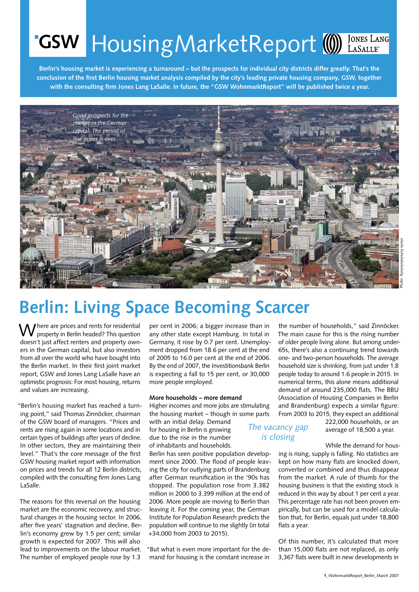# **GSW** HousingMarketReport (1) IONES LANG

**Berlin's housing market is experiencing a turnaround – but the prospects for individual city districts differ greatly. That's the conclusion of the first Berlin housing market analysis compiled by the city's leading private housing company, GSW, together with the consulting firm Jones Lang LaSalle. In future, the "GSW WohnmarktReport" will be published twice a year.**



## **Berlin: Living Space Becoming Scarcer**

 $\bigvee$  here are prices and rents for residential property in Berlin headed? This question doesn't just affect renters and property owners in the German capital, but also investors from all over the world who have bought into the Berlin market. In their first joint market report, GSW and Jones Lang LaSalle have an optimistic prognosis: For most housing, returns and values are increasing.

"Berlin's housing market has reached a turning point," said Thomas Zinnöcker, chairman of the GSW board of managers. "Prices and rents are rising again in some locations and in certain types of buildings after years of decline. In other sectors, they are maintaining their level." That's the core message of the first GSW housing market report with information on prices and trends for all 12 Berlin districts, compiled with the consulting firm Jones Lang LaSalle.

The reasons for this reversal on the housing market are the economic recovery, and structural changes in the housing sector. In 2006, after five years' stagnation and decline, Berlin's economy grew by 1.5 per cent; similar growth is expected for 2007. This will also lead to improvements on the labour market. The number of employed people rose by 1.3

per cent in 2006; a bigger increase than in any other state except Hamburg. In total in Germany, it rose by 0.7 per cent. Unemployment dropped from 18.6 per cent at the end of 2005 to 16.0 per cent at the end of 2006. By the end of 2007, the Investitionsbank Berlin is expecting a fall to 15 per cent, or 30,000 more people employed.

### **More households – more demand**

Higher incomes and more jobs are stimulating the housing market – though in some parts

with an initial delay. Demand for housing in Berlin is growing due to the rise in the number of inhabitants and households.

Berlin has seen positive population development since 2000. The flood of people leaving the city for outlying parts of Brandenburg after German reunification in the '90s has stopped. The population rose from 3.382 million in 2000 to 3.399 million at the end of 2006. More people are moving to Berlin than leaving it. For the coming year, the German Institute for Population Research predicts the population will continue to rise slightly (in total +34,000 from 2003 to 2015).

"But what is even more important for the demand for housing is the constant increase in

the number of households," said Zinnöcker. The main cause for this is the rising number of older people living alone. But among under-65s, there's also a continuing trend towards one- and two-person households. The average household size is shrinking, from just under 1.8 people today to around 1.6 people in 2015. In numerical terms, this alone means additional demand of around 235,000 flats. The BBU (Association of Housing Companies in Berlin and Brandenburg) expects a similar figure: From 2003 to 2015, they expect an additional

*The vacancy gap is closing*

222,000 households, or an average of 18,500 a year.

### While the demand for hous-

ing is rising, supply is falling. No statistics are kept on how many flats are knocked down, converted or combined and thus disappear from the market. A rule of thumb for the housing business is that the existing stock is reduced in this way by about 1 per cent a year. This percentage rate has not been proven empirically, but can be used for a model calculation that, for Berlin, equals just under 18,800 flats a year.

Of this number, it's calculated that more than 15,000 flats are not replaced, as only 3,367 flats were built in new developments in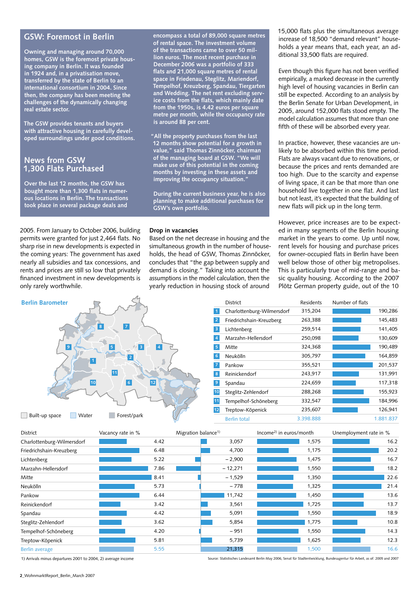## **GSW: Foremost in Berlin**

**Owning and managing around 70,000 homes, GSW is the foremost private housing company in Berlin. It was founded in 1924 and, in a privatisation move, transferred by the state of Berlin to an international consortium in 2004. Since then, the company has been meeting the challenges of the dynamically changing real estate sector.** 

**The GSW provides tenants and buyers with attractive housing in carefully developed surroundings under good conditions.** 

## **News from GSW 1,300 Flats Purchased**

**Over the last 12 months, the GSW has bought more than 1,300 flats in numerous locations in Berlin. The transactions took place in several package deals and** 

2005. From January to October 2006, building permits were granted for just 2,464 flats. No sharp rise in new developments is expected in the coming years: The government has axed nearly all subsidies and tax concessions, and rents and prices are still so low that privately financed investment in new developments is only rarely worthwhile.

**encompass a total of 89,000 square metres of rental space. The investment volume of the transactions came to over 50 million euros. The most recent purchase in December 2006 was a portfolio of 333 flats and 21,000 square metres of rental space in Friedenau, Steglitz, Mariendorf, Tempelhof, Kreuzberg, Spandau, Tiergarten and Wedding. The net rent excluding service costs from the flats, which mainly date from the 1950s, is 4.42 euros per square metre per month, while the occupancy rate is around 88 per cent.** 

**"All the property purchases from the last 12 months show potential for a growth in value," said Thomas Zinnöcker, chairman of the managing board at GSW. "We will make use of this potential in the coming months by investing in these assets and improving the occupancy situation."** 

**During the current business year, he is also planning to make additional purchases for GSW's own portfolio.** 

#### **Drop in vacancies**

Based on the net decrease in housing and the simultaneous growth in the number of households, the head of GSW, Thomas Zinnöcker, concludes that "the gap between supply and demand is closing." Taking into account the assumptions in the model calculation, then the yearly reduction in housing stock of around

15,000 flats plus the simultaneous average increase of 18,500 "demand relevant" households a year means that, each year, an additional 33,500 flats are required.

Even though this figure has not been verified empirically, a marked decrease in the currently high level of housing vacancies in Berlin can still be expected. According to an analysis by the Berlin Senate for Urban Development, in 2005, around 152,000 flats stood empty. The model calculation assumes that more than one fifth of these will be absorbed every year.

In practice, however, these vacancies are unlikely to be absorbed within this time period. Flats are always vacant due to renovations, or because the prices and rents demanded are too high. Due to the scarcity and expense of living space, it can be that more than one household live together in one flat. And last but not least, it's expected that the building of new flats will pick up in the long term.

However, price increases are to be expected in many segments of the Berlin housing market in the years to come. Up until now, rent levels for housing and purchase prices for owner-occupied flats in Berlin have been well below those of other big metropolises. This is particularly true of mid-range and basic quality housing. According to the 2007 Plötz German property guide, out of the 10

| <b>Berlin Barometer</b>                                                                                                                                                     | District                   | Residents | Number of flats |
|-----------------------------------------------------------------------------------------------------------------------------------------------------------------------------|----------------------------|-----------|-----------------|
|                                                                                                                                                                             | Charlottenburg-Wilmersdorf | 315,204   | 190,286         |
| $\begin{array}{c} \hline \end{array}$<br>8<br>9 ا<br>$\overline{5}$<br> 3 <br>$\vert 4 \vert$<br>$\vert$ 1<br>11<br>10<br>12<br>6<br>Forest/park<br>Water<br>Built-up space | Friedrichshain-Kreuzberg   | 263,388   | 145,483         |
|                                                                                                                                                                             | Lichtenberg<br>-3          | 259,514   | 141,405         |
|                                                                                                                                                                             | Marzahn-Hellersdorf        | 250,098   | 130,609         |
|                                                                                                                                                                             | 5<br>Mitte                 | 324,368   | 190,489         |
|                                                                                                                                                                             | Neukölln<br>-6             | 305,797   | 164,859         |
|                                                                                                                                                                             | Pankow                     | 355,521   | 201,537         |
|                                                                                                                                                                             | Reinickendorf<br>8         | 243,917   | 131,991         |
|                                                                                                                                                                             | $\overline{9}$<br>Spandau  | 224,659   | 117,318         |
|                                                                                                                                                                             | Steglitz-Zehlendorf<br>10  | 288,268   | 155,923         |
|                                                                                                                                                                             | Tempelhof-Schöneberg       | 332,547   | 184,996         |
|                                                                                                                                                                             | Treptow-Köpenick<br>12     | 235,607   | 126,941         |
|                                                                                                                                                                             | <b>Berlin total</b>        | 3.398.888 | 1.881.837       |

| District                   | Vacancy rate in % | Migration balance <sup>1)</sup> | Income <sup>2</sup> in euros/month |       | Unemployment rate in % |      |
|----------------------------|-------------------|---------------------------------|------------------------------------|-------|------------------------|------|
| Charlottenburg-Wilmersdorf | 4.42              | 3,057                           |                                    | 1,575 |                        | 16.2 |
| Friedrichshain-Kreuzberg   | 6.48              | 4,700                           |                                    | 1,175 |                        | 20.2 |
| Lichtenberg                | 5.22              | $-2,900$                        |                                    | 1,475 |                        | 16.7 |
| Marzahn-Hellersdorf        | 7.86              | $-12,271$                       |                                    | 1,550 |                        | 18.2 |
| Mitte                      | 8.41              | $-1,529$                        |                                    | 1,350 |                        | 22.6 |
| Neukölln                   | 5.73              | $-778$                          |                                    | 1,325 |                        | 21.4 |
| Pankow                     | 6.44              | 11,742                          |                                    | 1,450 |                        | 13.6 |
| Reinickendorf              | 3.42              | 3,561                           |                                    | 1,725 |                        | 13.7 |
| Spandau                    | 4.42              | 5,091                           |                                    | 1,550 |                        | 18.9 |
| Steglitz-Zehlendorf        | 3.62              | 5,854                           |                                    | 1,775 |                        | 10.8 |
| Tempelhof-Schöneberg       | 4.20              | $-951$                          |                                    | 1,550 |                        | 14.3 |
| Treptow-Köpenick           | 5.81              | 5,739                           |                                    | 1,625 |                        | 12.3 |
| Berlin average             | 5.55              | 21,315                          |                                    | 1,500 |                        | 16.6 |

1) Arrivals minus departures 2001 to 2004, 2) average income

Source: Statistisches Landesamt Berlin May 2006, Senat für Stadtentwicklung, Bundesagentur für Arbeit, as of: 2005 and 2007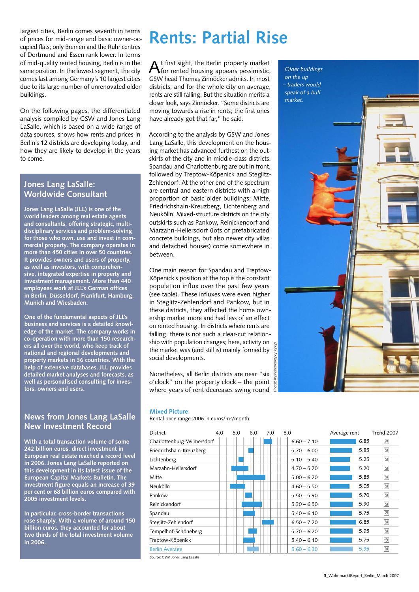largest cities, Berlin comes seventh in terms of prices for mid-range and basic owner-occupied flats; only Bremen and the Ruhr centres of Dortmund and Essen rank lower. In terms of mid-quality rented housing, Berlin is in the same position. In the lowest segment, the city comes last among Germany's 10 largest cities due to its large number of unrenovated older buildings.

On the following pages, the differentiated analysis compiled by GSW and Jones Lang LaSalle, which is based on a wide range of data sources, shows how rents and prices in Berlin's 12 districts are developing today, and how they are likely to develop in the years to come.

## **Jones Lang LaSalle: Worldwide Consultant**

**Jones Lang LaSalle (JLL) is one of the world leaders among real estate agents and consultants, offering strategic, multidisciplinary services and problem-solving for those who own, use and invest in commercial property. The company operates in more than 450 cities in over 50 countries. It provides owners and users of property, as well as investors, with comprehensive, integrated expertise in property and investment management. More than 440 employees work at JLL's German offices in Berlin, Düsseldorf, Frankfurt, Hamburg, Munich and Wiesbaden.**

**One of the fundamental aspects of JLL's business and services is a detailed knowledge of the market. The company works in co-operation with more than 150 researchers all over the world, who keep track of national and regional developments and property markets in 36 countries. With the help of extensive databases, JLL provides detailed market analyses and forecasts, as well as personalised consulting for investors, owners and users.**

## **News from Jones Lang LaSalle New Investment Record**

**With a total transaction volume of some 242 billion euros, direct investment in European real estate reached a record level in 2006. Jones Lang LaSalle reported on this development in its latest issue of the European Capital Markets Bulletin. The investment figure equals an increase of 39 per cent or 68 billion euros compared with 2005 investment levels.** 

**In particular, cross-border transactions rose sharply. With a volume of around 150 billion euros, they accounted for about two thirds of the total investment volume in 2006.**

## **Rents: Partial Rise**

 $A$ t first sight, the Berlin property market for rented housing appears pessimistic, GSW head Thomas Zinnöcker admits. In most districts, and for the whole city on average, rents are still falling. But the situation merits a closer look, says Zinnöcker. "Some districts are moving towards a rise in rents; the first ones have already got that far," he said.

According to the analysis by GSW and Jones Lang LaSalle, this development on the housing market has advanced furthest on the outskirts of the city and in middle-class districts. Spandau and Charlottenburg are out in front, followed by Treptow-Köpenick and Steglitz-Zehlendorf. At the other end of the spectrum are central and eastern districts with a high proportion of basic older buildings: Mitte, Friedrichshain-Kreuzberg, Lichtenberg and Neukölln. Mixed-structure districts on the city outskirts such as Pankow, Reinickendorf and Marzahn-Hellersdorf (lots of prefabricated concrete buildings, but also newer city villas and detached houses) come somewhere in between.

One main reason for Spandau and Treptow-Köpenick's position at the top is the constant population influx over the past few years (see table). These influxes were even higher in Steglitz-Zehlendorf and Pankow, but in these districts, they affected the home ownership market more and had less of an effect on rented housing. In districts where rents are falling, there is not such a clear-cut relationship with population changes; here, activity on the market was (and still is) mainly formed by social developments.

Nonetheless, all Berlin districts are near "six o'clock" on the property clock – the point where years of rent decreases swing round



## **Mixed Picture**

Rental price range 2006 in euros/m2/month

| <b>District</b>            | 4.0 | 5.0 | 6.0 | 7.0 | 8.0 |               | Average rent |      | <b>Trend 2007</b>        |
|----------------------------|-----|-----|-----|-----|-----|---------------|--------------|------|--------------------------|
| Charlottenburg-Wilmersdorf |     |     |     |     |     | $6.60 - 7.10$ |              | 6.85 | ⊼                        |
| Friedrichshain-Kreuzberg   |     |     |     |     |     | $5.70 - 6.00$ |              | 5.85 | $\overline{\mathcal{M}}$ |
| Lichtenberg                |     |     |     |     |     | $5.10 - 5.40$ |              | 5.25 | $\overline{\mathbf{M}}$  |
| Marzahn-Hellersdorf        |     |     |     |     |     | $4.70 - 5.70$ |              | 5.20 | $\overline{\mathbf{M}}$  |
| <b>Mitte</b>               |     |     |     |     |     | $5.00 - 6.70$ |              | 5.85 | $\overline{\mathcal{M}}$ |
| Neukölln                   |     |     |     |     |     | $4.60 - 5.50$ |              | 5.05 | $\overline{\mathcal{M}}$ |
| Pankow                     |     |     |     |     |     | $5.50 - 5.90$ |              | 5.70 | $\overline{\mathbf{M}}$  |
| Reinickendorf              |     |     |     |     |     | $5.30 - 6.50$ |              | 5.90 | $\overline{\mathbf{M}}$  |
| Spandau                    |     |     |     |     |     | $5.40 - 6.10$ |              | 5.75 | $\overline{\phantom{a}}$ |
| Steglitz-Zehlendorf        |     |     |     |     |     | $6.50 - 7.20$ |              | 6.85 | $\overline{\mathbf{M}}$  |
| Tempelhof-Schöneberg       |     |     |     |     |     | $5.70 - 6.20$ |              | 5.95 | $\overline{\mathcal{M}}$ |
| Treptow-Köpenick           |     |     |     |     |     | $5.40 - 6.10$ |              | 5.75 | $\rightarrow$            |
| <b>Berlin Average</b>      |     |     |     |     |     | $5.60 - 6.30$ |              | 5.95 | N                        |

Source: GSW, Jones Lang LaSalle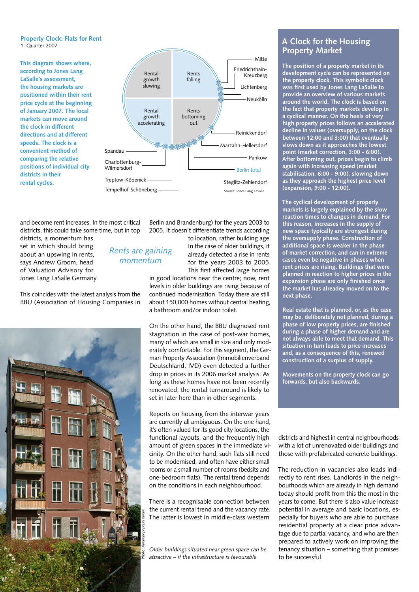### **Property Clock: Flats for Rent** 1. Quarter 2007

**This diagram shows where, according to Jones Lang LaSalle's assessment, the housing markets are positioned within their rent price cycle at the beginning of January 2007. The local markets can move around the clock in different directions and at different speeds. The clock is a convenient method of comparing the relative positions of individual city districts in their rental cycles.**



and become rent increases. In the most critical districts, this could take some time, but in top

> *Rents are gaining momentum*

districts, a momentum has set in which should bring about an upswing in rents, says Andrew Groom, head of Valuation Advisory for Jones Lang LaSalle Germany.

This coincides with the latest analysis from the BBU (Association of Housing Companies in



Berlin and Brandenburg) for the years 2003 to 2005. It doesn't differentiate trends according

> to location, rather building age. In the case of older buildings, it already detected a rise in rents for the years 2003 to 2005. This first affected large homes

in good locations near the centre; now, rent levels in older buildings are rising because of continued modernisation. Today there are still about 150,000 homes without central heating, a bathroom and/or indoor toilet.

On the other hand, the BBU diagnosed rent stagnation in the case of post-war homes, many of which are small in size and only moderately comfortable. For this segment, the German Property Association (Immobilienverband Deutschland, IVD) even detected a further drop in prices in its 2006 market analysis. As long as these homes have not been recently renovated, the rental turnaround is likely to set in later here than in other segments.

Reports on housing from the interwar years are currently all ambiguous. On the one hand, it's often valued for its good city locations, the functional layouts, and the frequently high amount of green spaces in the immediate vicinity. On the other hand, such flats still need to be modernised, and often have either small rooms or a small number of rooms (bedsits and one-bedroom flats). The rental trend depends on the conditions in each neighbourhood.

There is a recognisable connection between the current rental trend and the vacancy rate. The latter is lowest in middle-class western

*Older buildings situated near green space can be attractive – if the infrastructure is favourable*

## **A Clock for the Housing Property Market**

**The position of a property market in its development cycle can be represented on the property clock. This symbolic clock was first used by Jones Lang LaSalle to provide an overview of various markets around the world. The clock is based on the fact that property markets develop in a cyclical manner. On the heels of very high property prices follows an accelerated decline in values (oversupply, on the clock between 12:00 and 3:00) that eventually slows down as it approaches the lowest point (market correction, 3:00 - 6:00). After bottoming out, prices begin to climb again with increasing speed (market stabilisation, 6:00 - 9:00), slowing down as they approach the highest price level (expansion, 9:00 - 12:00).** 

**The cyclical development of property markets is largely explained by the slow reaction times to changes in demand. For this reason, increases in the supply of new space typically are strongest during the oversupply phase. Construction of additional space is weaker in the phase of market correction, and can in extreme cases even be negative in phases when rent prices are rising. Buildings that were planned in reaction to higher prices in the expansion phase are only finished once the market has alreadey moved on to the next phase.** 

**Real estate that is planned, or, as the case may be, deliberately not planned, during a phase of low property prices, are finished during a phase of higher demand and are not always able to meet that demand. This situation in turn leads to price increases and, as a consequence of this, renewed construction of a surplus of supply.** 

**Movements on the property clock can go forwards, but also backwards.** 

districts and highest in central neighbourhoods with a lot of unrenovated older buildings and those with prefabricated concrete buildings.

The reduction in vacancies also leads indirectly to rent rises. Landlords in the neighbourhoods which are already in high demand today should profit from this the most in the years to come. But there is also value increase potential in average and basic locations, especially for buyers who are able to purchase residential property at a clear price advantage due to partial vacancy, and who are then prepared to actively work on improving the tenancy situation – something that promises to be successful.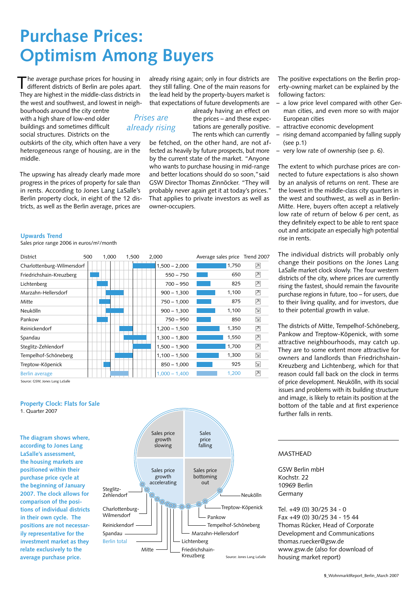## **Purchase Prices: Optimism Among Buyers**

The average purchase prices for housing in different districts of Berlin are poles apart. They are highest in the middle-class districts in the west and southwest, and lowest in neigh-

bourhoods around the city centre with a high share of low-end older buildings and sometimes difficult social structures. Districts on the

outskirts of the city, which often have a very heterogeneous range of housing, are in the middle.

The upswing has already clearly made more progress in the prices of property for sale than in rents. According to Jones Lang LaSalle's Berlin property clock, in eight of the 12 districts, as well as the Berlin average, prices are

already rising again; only in four districts are they still falling. One of the main reasons for the lead held by the property-buyers market is that expectations of future developments are

already having an effect on the prices – and these expectations are generally positive. The rents which can currently

be fetched, on the other hand, are not affected as heavily by future prospects, but more by the current state of the market. "Anyone who wants to purchase housing in mid-range and better locations should do so soon,"said GSW Director Thomas Zinnöcker. "They will probably never again get it at today's prices." That applies to private investors as well as owner-occupiers.

The positive expectations on the Berlin property-owning market can be explained by the following factors:

- a low price level compared with other German cities, and even more so with major European cities
- attractive economic development
- rising demand accompanied by falling supply (see p.1)
- very low rate of ownership (see p. 6).

The extent to which purchase prices are connected to future expectations is also shown by an analysis of returns on rent. These are the lowest in the middle-class city quarters in the west and southwest, as well as in Berlin-Mitte. Here, buyers often accept a relatively low rate of return of below 6 per cent, as they definitely expect to be able to rent space out and anticipate an especially high potential rise in rents.

The individual districts will probably only change their positions on the Jones Lang LaSalle market clock slowly. The four western districts of the city, where prices are currently rising the fastest, should remain the favourite purchase regions in future, too – for users, due to their living quality, and for investors, due to their potential growth in value.

The districts of Mitte, Tempelhof-Schöneberg, Pankow and Treptow-Köpenick, with some attractive neighbourhoods, may catch up. They are to some extent more attractive for owners and landlords than Friedrichshain-Kreuzberg and Lichtenberg, which for that reason could fall back on the clock in terms of price development. Neukölln, with its social issues and problems with its building structure and image, is likely to retain its position at the bottom of the table and at first experience further falls in rents.

## MASTHEAD

GSW Berlin mbH Kochstr. 22 10969 Berlin Germany

Tel. +49 (0) 30/25 34 - 0 Fax +49 (0) 30/25 34 - 15 44 Thomas Rücker, Head of Corporate Development and Communications thomas.ruecker@gsw.de www.gsw.de (also for download of housing market report)

#### **Upwards Trend**

Sales price range 2006 in euros/m2/month

| District                   | 500 | 1.000 | 1.500 | 2.000           | Average sales price Trend 2007 |                          |
|----------------------------|-----|-------|-------|-----------------|--------------------------------|--------------------------|
| Charlottenburg-Wilmersdorf |     |       |       | $1,500 - 2,000$ | 1,750                          | $\overline{\phantom{a}}$ |
| Friedrichshain-Kreuzberg   |     |       |       | $550 - 750$     | 650                            | ⊠                        |
| Lichtenberg                |     |       |       | $700 - 950$     | 825                            | $ \overline{\lambda} $   |
| Marzahn-Hellersdorf        |     |       |       | $900 - 1,300$   | 1,100                          | ⊠                        |
| Mitte                      |     |       |       | $750 - 1,000$   | 875                            | $\overline{\phantom{a}}$ |
| Neukölln                   |     |       |       | $900 - 1,300$   | 1,100                          | N                        |
| Pankow                     |     |       |       | $750 - 950$     | 850                            | $\geq$                   |
| Reinickendorf              |     |       |       | $1,200 - 1,500$ | 1,350                          | ⊠                        |
| Spandau                    |     |       |       | $1,300 - 1,800$ | 1,550                          | ⊠                        |
| Steglitz-Zehlendorf        |     |       |       | $1,500 - 1,900$ | 1,700                          | ⊠                        |
| Tempelhof-Schöneberg       |     |       |       | $1,100 - 1,500$ | 1,300                          | N                        |
| Treptow-Köpenick           |     |       |       | $850 - 1,000$   | 925                            | $\geq$                   |
| Berlin average             |     |       |       | $1,000 - 1,400$ | 1,200                          | $\overline{\phantom{a}}$ |

*Prises are already rising*

Source: GSW, Jones Lang LaSalle

## **Property Clock: Flats for Sale** 1. Quarter 2007

**The diagram shows where, according to Jones Lang LaSalle's assessment, the housing markets are positioned within their purchase price cycle at the beginning of January 2007. The clock allows for comparison of the positions of individual districts in their own cycle. The positions are not necessarily representative for the investment market as they relate exclusively to the average purchase price.** 

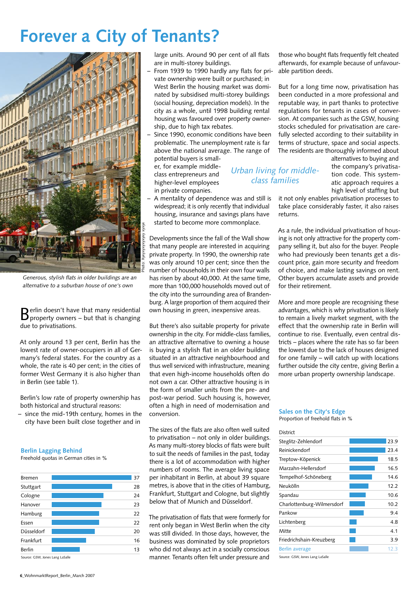## **Forever a City of Tenants?**



*Generous, stylish flats in older buildings are an alternative to a suburban house of one's own*

Berlin doesn't have that many residential property owners – but that is changing due to privatisations.

At only around 13 per cent, Berlin has the lowest rate of owner-occupiers in all of Germany's federal states. For the country as a whole, the rate is 40 per cent; in the cities of former West Germany it is also higher than in Berlin (see table 1).

Berlin's low rate of property ownership has both historical and structural reasons:

– since the mid-19th century, homes in the city have been built close together and in

### **Berlin Lagging Behind**

Freehold quotas in German cities in %



large units. Around 90 per cent of all flats are in multi-storey buildings.

- From 1939 to 1990 hardly any flats for private ownership were built or purchased; in West Berlin the housing market was dominated by subsidised multi-storey buildings (social housing, depreciation models). In the city as a whole, until 1998 building rental housing was favoured over property ownership, due to high tax rebates.
- Since 1990, economic conditions have been problematic. The unemployment rate is far above the national average. The range of potential buyers is small-

*Urban living for middleclass families*

er, for example middleclass entrepreneurs and higher-level employees in private companies.

### – A mentality of dependence was and still is widespread; it is only recently that individual housing, insurance and savings plans have started to become more commonplace.

Developments since the fall of the Wall show that many people are interested in acquiring private property. In 1990, the ownership rate was only around 10 per cent; since then the number of households in their own four walls has risen by about 40,000. At the same time, more than 100,000 households moved out of the city into the surrounding area of Brandenburg. A large proportion of them acquired their own housing in green, inexpensive areas.

But there's also suitable property for private ownership in the city. For middle-class families, an attractive alternative to owning a house is buying a stylish flat in an older building situated in an attractive neighbourhood and thus well serviced with infrastructure, meaning that even high-income households often do not own a car. Other attractive housing is in the form of smaller units from the pre- and post-war period. Such housing is, however, often a high in need of modernisation and conversion.

The sizes of the flats are also often well suited to privatisation – not only in older buildings. As many multi-storey blocks of flats were built to suit the needs of families in the past, today there is a lot of accommodation with higher numbers of rooms. The average living space per inhabitant in Berlin, at about 39 square metres, is above that in the cities of Hamburg, Frankfurt, Stuttgart and Cologne, but slightly below that of Munich and Düsseldorf.

The privatisation of flats that were formerly for rent only began in West Berlin when the city was still divided. In those days, however, the business was dominated by sole proprietors who did not always act in a socially conscious manner. Tenants often felt under pressure and those who bought flats frequently felt cheated afterwards, for example because of unfavourable partition deeds.

But for a long time now, privatisation has been conducted in a more professional and reputable way, in part thanks to protective regulations for tenants in cases of conversion. At companies such as the GSW, housing stocks scheduled for privatisation are carefully selected according to their suitability in terms of structure, space and social aspects. The residents are thoroughly informed about

> alternatives to buying and the company's privatisation code. This systematic approach requires a high level of staffing but

it not only enables privatisation processes to take place considerably faster, it also raises returns.

As a rule, the individual privatisation of housing is not only attractive for the property company selling it, but also for the buyer. People who had previously been tenants get a discount price, gain more security and freedom of choice, and make lasting savings on rent. Other buyers accumulate assets and provide for their retirement.

More and more people are recognising these advantages, which is why privatisation is likely to remain a lively market segment, with the effect that the ownership rate in Berlin will continue to rise. Eventually, even central districts – places where the rate has so far been the lowest due to the lack of houses designed for one family – will catch up with locations further outside the city centre, giving Berlin a more urban property ownership landscape.

#### **Sales on the City's Edge** Proportion of freehold flats in %

| District                   |      |
|----------------------------|------|
| Steglitz-Zehlendorf        | 23.9 |
| Reinickendorf              | 23.4 |
| Treptow-Köpenick           | 18.5 |
| Marzahn-Hellersdorf        | 16.5 |
| Tempelhof-Schöneberg       | 14.6 |
| Neukölln                   | 12.2 |
| Spandau                    | 10.6 |
| Charlottenburg-Wilmersdorf | 10.2 |
| Pankow                     | 9.4  |
| Lichtenberg                | 4.8  |
| Mitte                      | 4.1  |
| Friedrichshain-Kreuzberg   | 3.9  |
| Berlin average             | 12.3 |

Source: GSW, Jones Lang LaSalle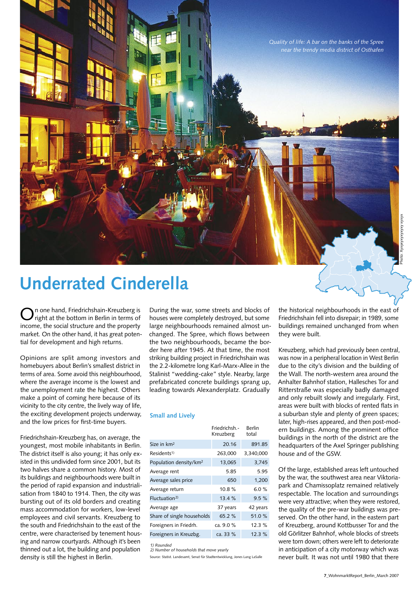

## **Underrated Cinderella**

On one hand, Friedrichshain-Kreuzberg is right at the bottom in Berlin in terms of income, the social structure and the property market. On the other hand, it has great potential for development and high returns.

Opinions are split among investors and homebuyers about Berlin's smallest district in terms of area. Some avoid this neighbourhood, where the average income is the lowest and the unemployment rate the highest. Others make a point of coming here because of its vicinity to the city centre, the lively way of life, the exciting development projects underway, and the low prices for first-time buyers.

Friedrichshain-Kreuzberg has, on average, the youngest, most mobile inhabitants in Berlin. The district itself is also young; it has only existed in this undivided form since 2001, but its two halves share a common history. Most of its buildings and neighbourhoods were built in the period of rapid expansion and industrialisation from 1840 to 1914. Then, the city was bursting out of its old borders and creating mass accommodation for workers, low-level employees and civil servants. Kreuzberg to the south and Friedrichshain to the east of the centre, were characterised by tenement housing and narrow courtyards. Although it's been thinned out a lot, the building and population density is still the highest in Berlin.

During the war, some streets and blocks of houses were completely destroyed, but some large neighbourhoods remained almost unchanged. The Spree, which flows between the two neighbourhoods, became the border here after 1945. At that time, the most striking building project in Friedrichshain was the 2.2-kilometre long Karl-Marx-Allee in the Stalinist "wedding-cake" style. Nearby, large prefabricated concrete buildings sprang up, leading towards Alexanderplatz. Gradually

#### **Small and Lively**

|                                    | Friedrichsh.-<br>Kreuzberg | Berlin<br>total |
|------------------------------------|----------------------------|-----------------|
| Size in km <sup>2</sup>            | 20.16                      | 891.85          |
| Residents <sup>1)</sup>            | 263,000                    | 3,340,000       |
| Population density/km <sup>2</sup> | 13,065                     | 3,745           |
| Average rent                       | 5.85                       | 5.95            |
| Average sales price                | 650                        | 1,200           |
| Average return                     | 10.8%                      | 6.0 $%$         |
| Fluctuation <sup>2</sup>           | 13.4%                      | $9.5 \%$        |
| Average age                        | 37 years                   | 42 years        |
| Share of single households         | 65.2 %                     | 51.0%           |
| Foreigners in Friedrh.             | ca. 9.0 %                  | 12.3%           |
| Foreigners in Kreuzbg.             | ca. 33 %                   | 12.3%           |
|                                    |                            |                 |

*1) Rounded*

*2) Number of households that move yearly*

Source: Statist. Landesamt, Senat für Stadtentwicklung, Jones Lang LaSalle

the historical neighbourhoods in the east of Friedrichshain fell into disrepair; in 1989, some buildings remained unchanged from when they were built.

Kreuzberg, which had previously been central, was now in a peripheral location in West Berlin due to the city's division and the building of the Wall. The north-western area around the Anhalter Bahnhof station, Hallesches Tor and Ritterstraße was especially badly damaged and only rebuilt slowly and irregularly. First, areas were built with blocks of rented flats in a suburban style and plenty of green spaces; later, high-rises appeared, and then post-modern buildings. Among the prominent office buildings in the north of the district are the headquarters of the Axel Springer publishing house and of the GSW.

Of the large, established areas left untouched by the war, the southwest area near Viktoriapark and Chamissoplatz remained relatively respectable. The location and surroundings were very attractive; when they were restored, the quality of the pre-war buildings was preserved. On the other hand, in the eastern part of Kreuzberg, around Kottbusser Tor and the old Görlitzer Bahnhof, whole blocks of streets were torn down; others were left to deteriorate in anticipation of a city motorway which was never built. It was not until 1980 that there